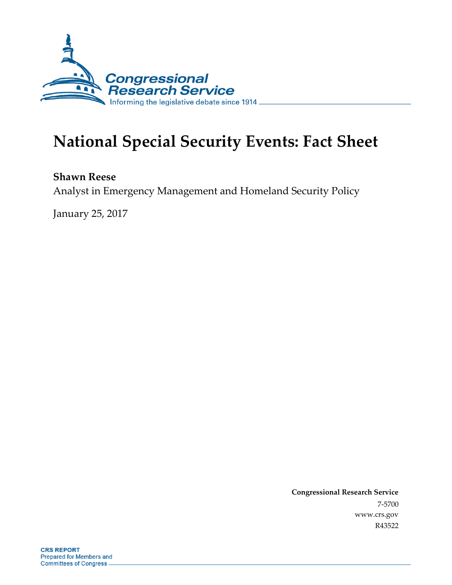

# **National Special Security Events: Fact Sheet**

**Shawn Reese**

Analyst in Emergency Management and Homeland Security Policy

January 25, 2017

**Congressional Research Service** 7-5700 www.crs.gov R43522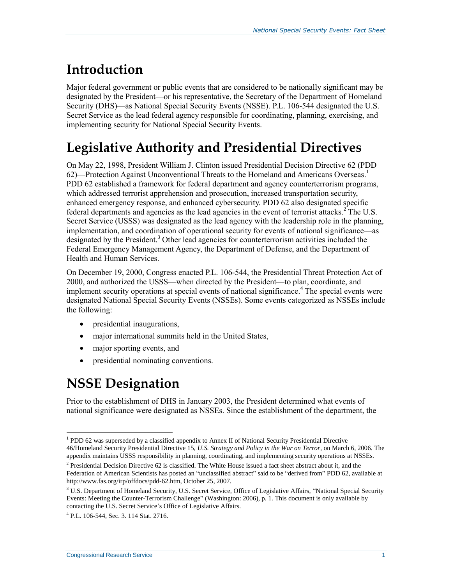## **Introduction**

Major federal government or public events that are considered to be nationally significant may be designated by the President—or his representative, the Secretary of the Department of Homeland Security (DHS)—as National Special Security Events (NSSE). P.L. 106-544 designated the U.S. Secret Service as the lead federal agency responsible for coordinating, planning, exercising, and implementing security for National Special Security Events.

## **Legislative Authority and Presidential Directives**

On May 22, 1998, President William J. Clinton issued Presidential Decision Directive 62 (PDD 62)—Protection Against Unconventional Threats to the Homeland and Americans Overseas.<sup>1</sup> PDD 62 established a framework for federal department and agency counterterrorism programs, which addressed terrorist apprehension and prosecution, increased transportation security, enhanced emergency response, and enhanced cybersecurity. PDD 62 also designated specific federal departments and agencies as the lead agencies in the event of terrorist attacks.<sup>2</sup> The U.S. Secret Service (USSS) was designated as the lead agency with the leadership role in the planning, implementation, and coordination of operational security for events of national significance—as designated by the President.<sup>3</sup> Other lead agencies for counterterrorism activities included the Federal Emergency Management Agency, the Department of Defense, and the Department of Health and Human Services.

On December 19, 2000, Congress enacted P.L. 106-544, the Presidential Threat Protection Act of 2000, and authorized the USSS—when directed by the President—to plan, coordinate, and implement security operations at special events of national significance.<sup>4</sup> The special events were designated National Special Security Events (NSSEs). Some events categorized as NSSEs include the following:

- presidential inaugurations,
- major international summits held in the United States,
- major sporting events, and
- presidential nominating conventions.

### **NSSE Designation**

 $\overline{a}$ 

Prior to the establishment of DHS in January 2003, the President determined what events of national significance were designated as NSSEs. Since the establishment of the department, the

<sup>&</sup>lt;sup>1</sup> PDD 62 was superseded by a classified appendix to Annex II of National Security Presidential Directive 46/Homeland Security Presidential Directive 15, *U.S. Strategy and Policy in the War on Terror*, on March 6, 2006. The appendix maintains USSS responsibility in planning, coordinating, and implementing security operations at NSSEs.

<sup>&</sup>lt;sup>2</sup> Presidential Decision Directive 62 is classified. The White House issued a fact sheet abstract about it, and the Federation of American Scientists has posted an "unclassified abstract" said to be "derived from" PDD 62, available at http://www.fas.org/irp/offdocs/pdd-62.htm, October 25, 2007.

<sup>&</sup>lt;sup>3</sup> U.S. Department of Homeland Security, U.S. Secret Service, Office of Legislative Affairs, "National Special Security Events: Meeting the Counter-Terrorism Challenge" (Washington: 2006), p. 1. This document is only available by contacting the U.S. Secret Service's Office of Legislative Affairs.

<sup>4</sup> P.L. 106-544, Sec. 3. 114 Stat. 2716.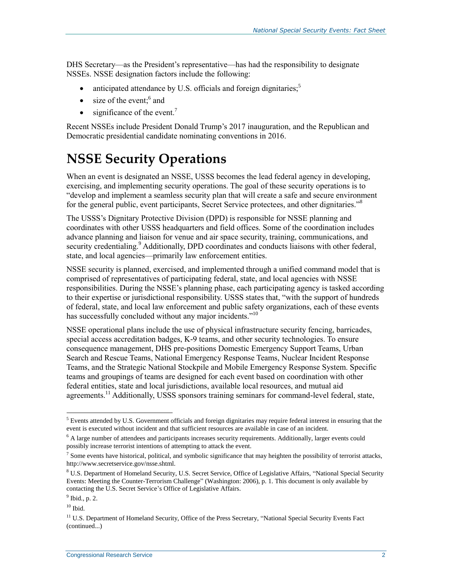DHS Secretary—as the President's representative—has had the responsibility to designate NSSEs. NSSE designation factors include the following:

- anticipated attendance by U.S. officials and foreign dignitaries;<sup>5</sup>
- $\bullet$  size of the event;<sup>6</sup> and
- $\bullet$  significance of the event.<sup>7</sup>

Recent NSSEs include President Donald Trump's 2017 inauguration, and the Republican and Democratic presidential candidate nominating conventions in 2016.

### **NSSE Security Operations**

When an event is designated an NSSE, USSS becomes the lead federal agency in developing, exercising, and implementing security operations. The goal of these security operations is to "develop and implement a seamless security plan that will create a safe and secure environment for the general public, event participants, Secret Service protectees, and other dignitaries."<sup>8</sup>

The USSS's Dignitary Protective Division (DPD) is responsible for NSSE planning and coordinates with other USSS headquarters and field offices. Some of the coordination includes advance planning and liaison for venue and air space security, training, communications, and security credentialing.<sup>9</sup> Additionally, DPD coordinates and conducts liaisons with other federal, state, and local agencies—primarily law enforcement entities.

NSSE security is planned, exercised, and implemented through a unified command model that is comprised of representatives of participating federal, state, and local agencies with NSSE responsibilities. During the NSSE's planning phase, each participating agency is tasked according to their expertise or jurisdictional responsibility. USSS states that, "with the support of hundreds of federal, state, and local law enforcement and public safety organizations, each of these events has successfully concluded without any major incidents."<sup>10</sup>

NSSE operational plans include the use of physical infrastructure security fencing, barricades, special access accreditation badges, K-9 teams, and other security technologies. To ensure consequence management, DHS pre-positions Domestic Emergency Support Teams, Urban Search and Rescue Teams, National Emergency Response Teams, Nuclear Incident Response Teams, and the Strategic National Stockpile and Mobile Emergency Response System. Specific teams and groupings of teams are designed for each event based on coordination with other federal entities, state and local jurisdictions, available local resources, and mutual aid agreements.<sup>11</sup> Additionally, USSS sponsors training seminars for command-level federal, state,

 $\overline{a}$ 

<sup>&</sup>lt;sup>5</sup> Events attended by U.S. Government officials and foreign dignitaries may require federal interest in ensuring that the event is executed without incident and that sufficient resources are available in case of an incident.

<sup>&</sup>lt;sup>6</sup> A large number of attendees and participants increases security requirements. Additionally, larger events could possibly increase terrorist intentions of attempting to attack the event.

 $^7$  Some events have historical, political, and symbolic significance that may heighten the possibility of terrorist attacks, http://www.secretservice.gov/nsse.shtml.

<sup>&</sup>lt;sup>8</sup> U.S. Department of Homeland Security, U.S. Secret Service, Office of Legislative Affairs, "National Special Security Events: Meeting the Counter-Terrorism Challenge" (Washington: 2006), p. 1. This document is only available by contacting the U.S. Secret Service's Office of Legislative Affairs.

 $<sup>9</sup>$  Ibid., p. 2.</sup>

 $10$  Ibid.

<sup>&</sup>lt;sup>11</sup> U.S. Department of Homeland Security, Office of the Press Secretary, "National Special Security Events Fact (continued...)